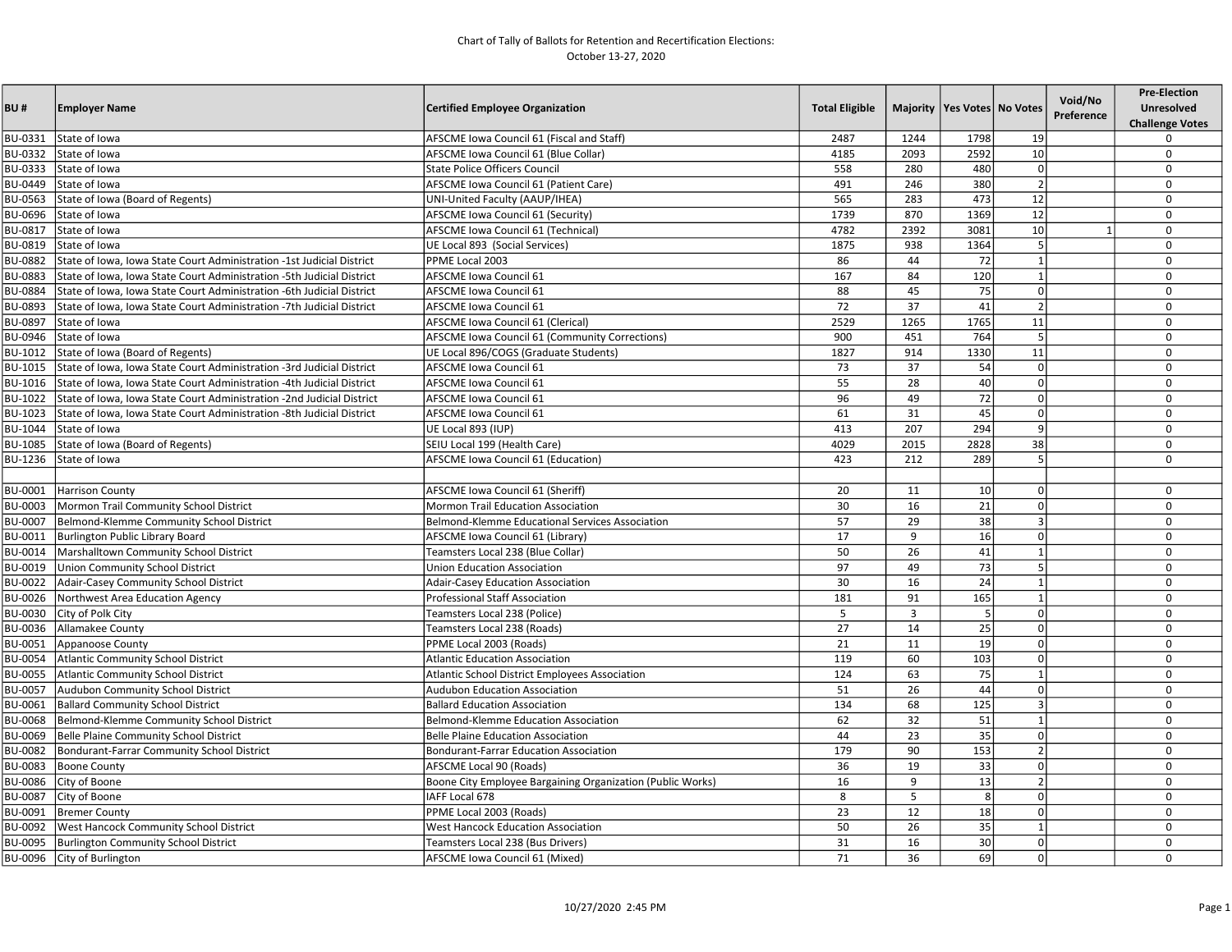| BU#            | <b>Employer Name</b>                                                  | <b>Certified Employee Organization</b>                     | <b>Total Eligible</b> |                | Majority   Yes Votes   No Votes |                          | Void/No<br>Preference | <b>Pre-Election</b><br><b>Unresolved</b><br><b>Challenge Votes</b> |
|----------------|-----------------------------------------------------------------------|------------------------------------------------------------|-----------------------|----------------|---------------------------------|--------------------------|-----------------------|--------------------------------------------------------------------|
| BU-0331        | State of Iowa                                                         | AFSCME Iowa Council 61 (Fiscal and Staff)                  | 2487                  | 1244           | 1798                            | 19                       |                       | $\Omega$                                                           |
| BU-0332        | State of Iowa                                                         | AFSCME Iowa Council 61 (Blue Collar)                       | 4185                  | 2093           | 2592                            | 10                       |                       | $\mathbf 0$                                                        |
| BU-0333        | State of Iowa                                                         | <b>State Police Officers Council</b>                       | 558                   | 280            | 480                             | $\mathbf 0$              |                       | $\mathbf 0$                                                        |
| BU-0449        | State of Iowa                                                         | AFSCME Iowa Council 61 (Patient Care)                      | 491                   | 246            | 380                             | $\overline{\phantom{a}}$ |                       | $\mathbf 0$                                                        |
| BU-0563        | State of Iowa (Board of Regents)                                      | UNI-United Faculty (AAUP/IHEA)                             | 565                   | 283            | 473                             | 12                       |                       | $\Omega$                                                           |
| BU-0696        | State of Iowa                                                         | AFSCME Iowa Council 61 (Security)                          | 1739                  | 870            | 1369                            | $\overline{12}$          |                       | $\Omega$                                                           |
| BU-0817        | State of Iowa                                                         | AFSCME Iowa Council 61 (Technical)                         | 4782                  | 2392           | 3081                            | 10                       |                       | $\Omega$                                                           |
| BU-0819        | State of Iowa                                                         | UE Local 893 (Social Services)                             | 1875                  | 938            | 1364                            | 5                        |                       | $\mathbf 0$                                                        |
| BU-0882        | State of Iowa, Iowa State Court Administration -1st Judicial District | PPME Local 2003                                            | 86                    | 44             | 72                              | $\overline{1}$           |                       | $\mathbf 0$                                                        |
| BU-0883        | State of Iowa, Iowa State Court Administration -5th Judicial District | <b>AFSCME Iowa Council 61</b>                              | 167                   | 84             | 120                             | $\overline{1}$           |                       | $\mathbf 0$                                                        |
| BU-0884        | State of Iowa, Iowa State Court Administration -6th Judicial District | <b>AFSCME Iowa Council 61</b>                              | 88                    | 45             | 75                              | $\mathbf 0$              |                       | $\mathbf 0$                                                        |
| BU-0893        | State of Iowa, Iowa State Court Administration -7th Judicial District | <b>AFSCME Iowa Council 61</b>                              | 72                    | 37             | 41                              | $\overline{2}$           |                       | $\Omega$                                                           |
| BU-0897        | State of Iowa                                                         | AFSCME Iowa Council 61 (Clerical)                          | 2529                  | 1265           | 1765                            | 11                       |                       | $\Omega$                                                           |
| BU-0946        | State of Iowa                                                         | AFSCME Iowa Council 61 (Community Corrections)             | 900                   | 451            | 764                             | 5                        |                       | $\mathbf 0$                                                        |
| BU-1012        | State of Iowa (Board of Regents)                                      | UE Local 896/COGS (Graduate Students)                      | 1827                  | 914            | 1330                            | 11                       |                       | $\mathbf 0$                                                        |
| <b>BU-1015</b> | State of Iowa, Iowa State Court Administration -3rd Judicial District | <b>AFSCME Iowa Council 61</b>                              | 73                    | 37             | 54                              | $\mathbf 0$              |                       | $\mathbf 0$                                                        |
| BU-1016        | State of Iowa, Iowa State Court Administration -4th Judicial District | <b>AFSCME Iowa Council 61</b>                              | 55                    | 28             | 40                              | $\Omega$                 |                       | $\mathbf 0$                                                        |
| BU-1022        | State of Iowa, Iowa State Court Administration -2nd Judicial District | <b>AFSCME Iowa Council 61</b>                              | 96                    | 49             | 72                              | $\Omega$                 |                       | $\mathbf 0$                                                        |
| BU-1023        | State of Iowa, Iowa State Court Administration -8th Judicial District | <b>AFSCME Iowa Council 61</b>                              | 61                    | 31             | 45                              | $\Omega$                 |                       | $\Omega$                                                           |
| BU-1044        | State of Iowa                                                         | UE Local 893 (IUP)                                         | 413                   | 207            | 294                             | 9                        |                       | $\Omega$                                                           |
| BU-1085        | State of Iowa (Board of Regents)                                      | SEIU Local 199 (Health Care)                               | 4029                  | 2015           | 2828                            | 38                       |                       | $\mathbf 0$                                                        |
| BU-1236        | State of Iowa                                                         | <b>AFSCME Iowa Council 61 (Education)</b>                  | 423                   | 212            | 289                             | 5                        |                       | $\mathbf 0$                                                        |
|                |                                                                       |                                                            |                       |                |                                 |                          |                       |                                                                    |
|                | BU-0001 Harrison County                                               | AFSCME Iowa Council 61 (Sheriff)                           | 20                    | 11             | 10 <sup>1</sup>                 | $\Omega$                 |                       | $\mathbf 0$                                                        |
|                | BU-0003   Mormon Trail Community School District                      | Mormon Trail Education Association                         | 30                    | 16             | 21                              | $\Omega$                 |                       | $\mathbf 0$                                                        |
| BU-0007        | Belmond-Klemme Community School District                              | Belmond-Klemme Educational Services Association            | 57                    | 29             | 38                              | $\overline{3}$           |                       | $\Omega$                                                           |
| BU-0011        | Burlington Public Library Board                                       | AFSCME Iowa Council 61 (Library)                           | 17                    | $\mathsf{q}$   | 16                              | $\Omega$                 |                       | $\Omega$                                                           |
| BU-0014        | Marshalltown Community School District                                | Teamsters Local 238 (Blue Collar)                          | 50                    | 26             | 41                              | $\overline{1}$           |                       | $\Omega$                                                           |
| BU-0019        | Union Community School District                                       | <b>Union Education Association</b>                         | 97                    | 49             | 73                              | 5                        |                       | $\Omega$                                                           |
| BU-0022        | Adair-Casey Community School District                                 | <b>Adair-Casey Education Association</b>                   | 30                    | 16             | $\overline{24}$                 | $\overline{1}$           |                       | $\mathbf 0$                                                        |
|                | BU-0026 Northwest Area Education Agency                               | <b>Professional Staff Association</b>                      | 181                   | 91             | 165                             | $\overline{1}$           |                       | $\mathbf 0$                                                        |
| BU-0030        | City of Polk City                                                     | Teamsters Local 238 (Police)                               | 5                     | $\overline{3}$ | 5                               | $\Omega$                 |                       | $\mathbf 0$                                                        |
|                | BU-0036 Allamakee County                                              | Teamsters Local 238 (Roads)                                | 27                    | 14             | 25                              | $\Omega$                 |                       | $\mathbf 0$                                                        |
|                | BU-0051 Appanoose County                                              | PPME Local 2003 (Roads)                                    | 21                    | 11             | 19                              | $\overline{0}$           |                       | $\mathbf 0$                                                        |
|                | BU-0054 Atlantic Community School District                            | <b>Atlantic Education Association</b>                      | 119                   | 60             | 103                             | $\overline{0}$           |                       | $\mathbf 0$                                                        |
|                | BU-0055 Atlantic Community School District                            | Atlantic School District Employees Association             | 124                   | 63             | 75                              | $\overline{1}$           |                       | $\Omega$                                                           |
|                | BU-0057 Audubon Community School District                             | <b>Audubon Education Association</b>                       | 51                    | 26             | 44                              | $\mathbf 0$              |                       | 0                                                                  |
| BU-0061        | <b>Ballard Community School District</b>                              | <b>Ballard Education Association</b>                       | 134                   | 68             | 125                             | $\overline{3}$           |                       | $\mathbf 0$                                                        |
|                | BU-0068  Belmond-Klemme Community School District                     | Belmond-Klemme Education Association                       | 62                    | 32             | 51                              | $\overline{1}$           |                       | $\mathbf 0$                                                        |
| BU-0069        | Belle Plaine Community School District                                | <b>Belle Plaine Education Association</b>                  | 44                    | 23             | 35                              | $\Omega$                 |                       | $\Omega$                                                           |
| BU-0082        | Bondurant-Farrar Community School District                            | Bondurant-Farrar Education Association                     | 179                   | 90             | 153                             | $\overline{2}$           |                       | $\mathbf 0$                                                        |
| BU-0083        | <b>Boone County</b>                                                   | AFSCME Local 90 (Roads)                                    | 36                    | 19             | 33                              | $\Omega$                 |                       | $\Omega$                                                           |
| BU-0086        | City of Boone                                                         | Boone City Employee Bargaining Organization (Public Works) | 16                    | 9              | 13                              | $\overline{2}$           |                       | $\Omega$                                                           |
| BU-0087        | City of Boone                                                         | IAFF Local 678                                             | 8                     | 5              | 8                               | $\Omega$                 |                       | $\mathbf 0$                                                        |
| BU-0091        | <b>Bremer County</b>                                                  | PPME Local 2003 (Roads)                                    | 23                    | 12             | 18                              | $\Omega$                 |                       | $\mathbf 0$                                                        |
| BU-0092        | <b>West Hancock Community School District</b>                         | <b>West Hancock Education Association</b>                  | 50                    | 26             | 35                              | $\overline{1}$           |                       | $\mathbf 0$                                                        |
|                | BU-0095  Burlington Community School District                         | Teamsters Local 238 (Bus Drivers)                          | 31                    | 16             | 30                              | $\Omega$                 |                       | $\mathbf 0$                                                        |
|                | BU-0096 City of Burlington                                            | AFSCME Iowa Council 61 (Mixed)                             | 71                    | 36             | 69                              | -ol                      |                       | $\mathbf 0$                                                        |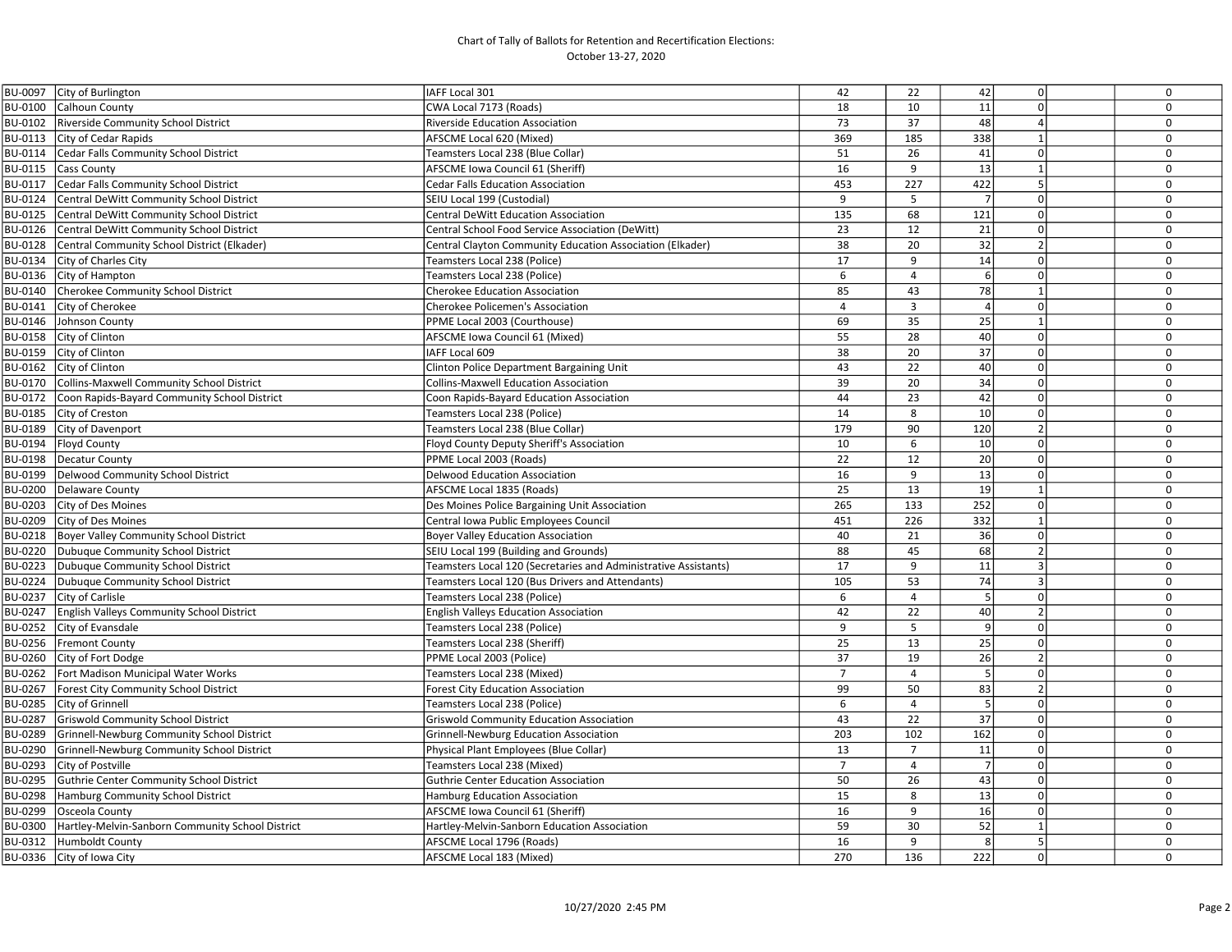| BU-0097 | City of Burlington                               | IAFF Local 301                                                  | 42             | 22             | 42             | $\mathsf 0$    | $\mathbf 0$ |
|---------|--------------------------------------------------|-----------------------------------------------------------------|----------------|----------------|----------------|----------------|-------------|
| BU-0100 | Calhoun County                                   | CWA Local 7173 (Roads)                                          | 18             | 10             | 11             | $\Omega$       | $\mathbf 0$ |
| BU-0102 | Riverside Community School District              | Riverside Education Association                                 | 73             | 37             | 48             | $\overline{4}$ | $\mathbf 0$ |
| BU-0113 | City of Cedar Rapids                             | AFSCME Local 620 (Mixed)                                        | 369            | 185            | 338            | $\mathbf{1}$   | 0           |
| BU-0114 | Cedar Falls Community School District            | Teamsters Local 238 (Blue Collar)                               | 51             | 26             | 41             | $\Omega$       | $\mathbf 0$ |
| BU-0115 | <b>Cass County</b>                               | AFSCME Iowa Council 61 (Sheriff)                                | 16             | 9              | 13             | $\mathbf{1}$   | $\mathbf 0$ |
| BU-0117 | Cedar Falls Community School District            | <b>Cedar Falls Education Association</b>                        | 453            | 227            | 422            | 5              | $\mathbf 0$ |
| BU-0124 | Central DeWitt Community School District         | SEIU Local 199 (Custodial)                                      | 9              | 5              | $\overline{7}$ | $\mathbf 0$    | $\mathbf 0$ |
| BU-0125 | Central DeWitt Community School District         | Central DeWitt Education Association                            | 135            | 68             | 121            | $\mathbf 0$    | $\mathbf 0$ |
| BU-0126 | Central DeWitt Community School District         | Central School Food Service Association (DeWitt)                | 23             | 12             | 21             | $\mathsf 0$    | 0           |
| BU-0128 | Central Community School District (Elkader)      | Central Clayton Community Education Association (Elkader)       | 38             | 20             | 32             | $\overline{2}$ | $\mathbf 0$ |
| BU-0134 | City of Charles City                             | Teamsters Local 238 (Police)                                    | 17             | $\mathsf{q}$   | 14             | $\Omega$       | $\mathbf 0$ |
| BU-0136 | City of Hampton                                  | Teamsters Local 238 (Police)                                    | 6              | $\overline{a}$ | $6 \mid$       | $\Omega$       | $\mathbf 0$ |
| BU-0140 | Cherokee Community School District               | <b>Cherokee Education Association</b>                           | 85             | 43             | 78             | $\mathbf{1}$   | $\mathbf 0$ |
| BU-0141 | City of Cherokee                                 | <b>Cherokee Policemen's Association</b>                         | 4              | 3              | $\overline{4}$ | $\mathsf 0$    | $\mathbf 0$ |
| BU-0146 | Johnson County                                   | PPME Local 2003 (Courthouse)                                    | 69             | 35             | 25             | $\mathbf{1}$   | $\mathbf 0$ |
| BU-0158 | City of Clinton                                  | AFSCME Iowa Council 61 (Mixed)                                  | 55             | 28             | 40             | $\mathbf 0$    | $\mathbf 0$ |
| BU-0159 | City of Clinton                                  | AFF Local 609                                                   | 38             | 20             | 37             | $\mathbf 0$    | $\mathbf 0$ |
| BU-0162 | City of Clinton                                  | Clinton Police Department Bargaining Unit                       | 43             | 22             | 40             | $\mathbf 0$    | $\mathbf 0$ |
| BU-0170 | Collins-Maxwell Community School District        | <b>Collins-Maxwell Education Association</b>                    | 39             | 20             | 34             | $\mathbf 0$    | $\mathbf 0$ |
| BU-0172 | Coon Rapids-Bayard Community School District     | Coon Rapids-Bayard Education Association                        | 44             | 23             | 42             | $\mathsf 0$    | 0           |
| BU-0185 | City of Creston                                  | Teamsters Local 238 (Police)                                    | 14             | 8              | 10             | $\mathbf 0$    | $\mathbf 0$ |
| BU-0189 | City of Davenport                                | Teamsters Local 238 (Blue Collar)                               | 179            | 90             | 120            | $\overline{2}$ | $\mathbf 0$ |
| BU-0194 | Floyd County                                     | Floyd County Deputy Sheriff's Association                       | 10             | 6              | 10             | $\mathbf 0$    | $\mathbf 0$ |
| BU-0198 | Decatur County                                   | PPME Local 2003 (Roads)                                         | 22             | 12             | 20             | $\mathbf 0$    | $\mathbf 0$ |
| BU-0199 | Delwood Community School District                | <b>Delwood Education Association</b>                            | 16             | 9              | 13             | $\Omega$       | $\mathbf 0$ |
| BU-0200 | <b>Delaware County</b>                           | AFSCME Local 1835 (Roads)                                       | 25             | 13             | 19             | $\mathbf{1}$   | 0           |
| BU-0203 | City of Des Moines                               | Des Moines Police Bargaining Unit Association                   | 265            | 133            | 252            | $\Omega$       | 0           |
| BU-0209 | <b>City of Des Moines</b>                        | Central Iowa Public Employees Council                           | 451            | 226            | 332            | $\mathbf{1}$   | $\mathbf 0$ |
| BU-0218 | Boyer Valley Community School District           | <b>Boyer Valley Education Association</b>                       | 40             | 21             | 36             | $\mathsf 0$    | $\mathbf 0$ |
| BU-0220 | Dubuque Community School District                | SEIU Local 199 (Building and Grounds)                           | 88             | 45             | 68             | $\overline{2}$ | $\mathbf 0$ |
| BU-0223 | Dubuque Community School District                | Teamsters Local 120 (Secretaries and Administrative Assistants) | 17             | 9              | $11\,$         | $\overline{3}$ | $\mathbf 0$ |
| BU-0224 | Dubuque Community School District                | Teamsters Local 120 (Bus Drivers and Attendants)                | 105            | 53             | 74             | $\overline{3}$ | $\mathbf 0$ |
| BU-0237 | City of Carlisle                                 | Teamsters Local 238 (Police)                                    | 6              | $\overline{4}$ | - 5 I          | $\mathbf 0$    | $\mathbf 0$ |
| BU-0247 | English Valleys Community School District        | <b>English Valleys Education Association</b>                    | 42             | 22             | 40             | $\overline{2}$ | $\mathbf 0$ |
| BU-0252 | City of Evansdale                                | Teamsters Local 238 (Police)                                    | 9              | 5              | $\overline{9}$ | $\mathbf 0$    | $\mathbf 0$ |
| BU-0256 | <b>Fremont County</b>                            | Teamsters Local 238 (Sheriff)                                   | 25             | 13             | 25             | $\mathsf 0$    | $\mathbf 0$ |
| BU-0260 | City of Fort Dodge                               | PPME Local 2003 (Police)                                        | 37             | 19             | 26             | $\overline{2}$ | 0           |
| BU-0262 | Fort Madison Municipal Water Works               | Teamsters Local 238 (Mixed)                                     | $\overline{7}$ | 4              | 5              | $\Omega$       | 0           |
| BU-0267 | Forest City Community School District            | Forest City Education Association                               | 99             | 50             | 83             | $\overline{2}$ | $\mathbf 0$ |
| BU-0285 | City of Grinnell                                 | Teamsters Local 238 (Police)                                    | 6              | $\overline{a}$ | 5              | $\Omega$       | $\mathbf 0$ |
| BU-0287 | <b>Griswold Community School District</b>        | <b>Griswold Community Education Association</b>                 | 43             | 22             | 37             | $\mathbf 0$    | $\mathbf 0$ |
| BU-0289 | Grinnell-Newburg Community School District       | Grinnell-Newburg Education Association                          | 203            | 102            | 162            | $\mathsf 0$    | $\mathbf 0$ |
| BU-0290 | Grinnell-Newburg Community School District       | Physical Plant Employees (Blue Collar)                          | 13             | $\overline{7}$ | 11             | $\mathsf 0$    | $\mathbf 0$ |
| BU-0293 | City of Postville                                | Teamsters Local 238 (Mixed)                                     | $\overline{7}$ | $\overline{a}$ | 7              | $\mathsf 0$    | 0           |
| BU-0295 | Guthrie Center Community School District         | <b>Guthrie Center Education Association</b>                     | 50             | 26             | 43             | $\Omega$       | $\mathbf 0$ |
| BU-0298 | Hamburg Community School District                | Hamburg Education Association                                   | 15             | 8              | 13             | $\mathbf 0$    | $\mathbf 0$ |
| BU-0299 | Osceola County                                   | AFSCME Iowa Council 61 (Sheriff)                                | 16             | 9              | 16             | $\mathsf 0$    | 0           |
| BU-0300 | Hartley-Melvin-Sanborn Community School District | Hartley-Melvin-Sanborn Education Association                    | 59             | 30             | 52             | $\mathbf{1}$   | $\mathbf 0$ |
| BU-0312 | Humboldt County                                  | AFSCME Local 1796 (Roads)                                       | 16             | 9              | 8              | 5              | $\mathbf 0$ |
|         | BU-0336 City of Iowa City                        | AFSCME Local 183 (Mixed)                                        | 270            | 136            | 222            | 0              | 0           |
|         |                                                  |                                                                 |                |                |                |                |             |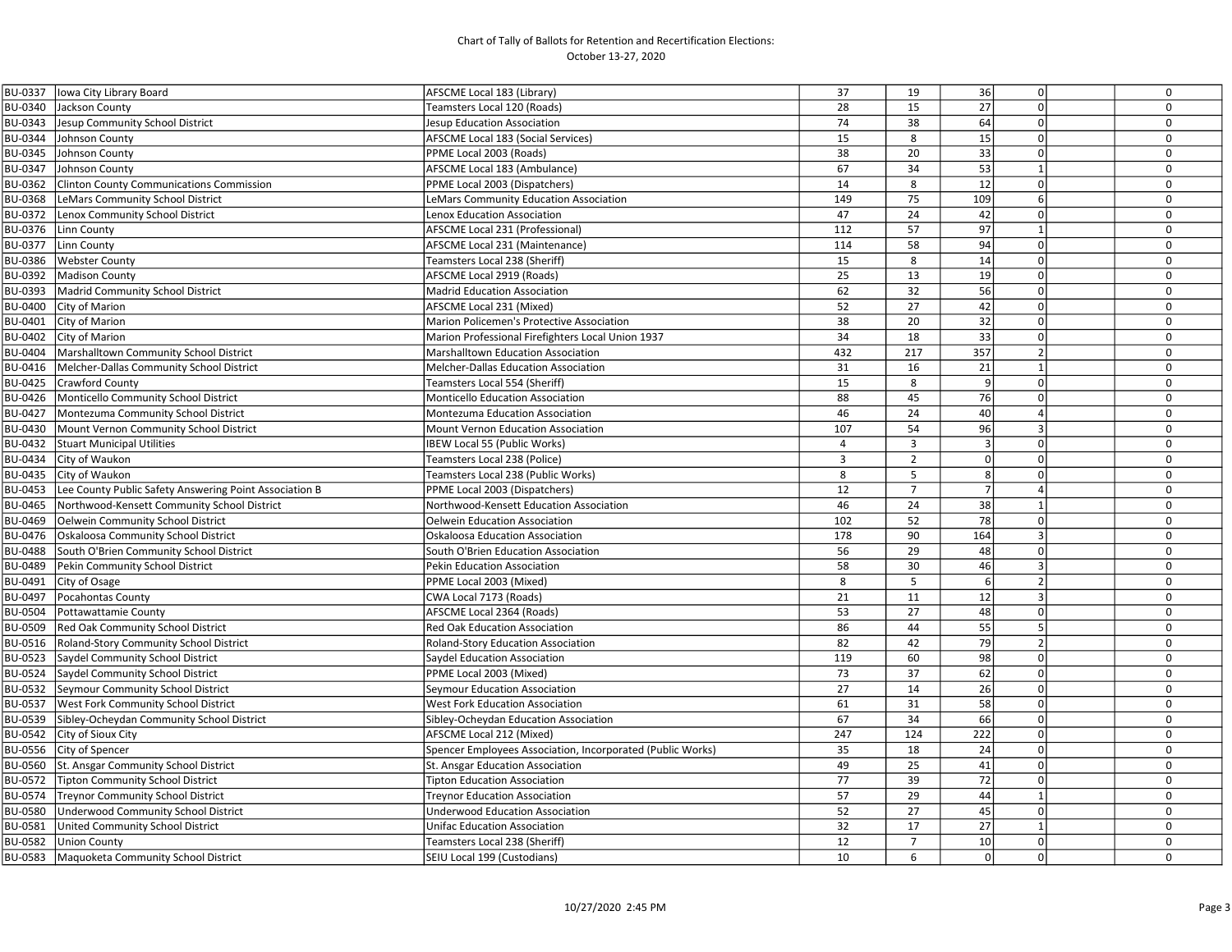| BU-0337        | lowa City Library Board                                | AFSCME Local 183 (Library)                                 | 37             | 19             | 36              | $\mathbf 0$    | 0            |
|----------------|--------------------------------------------------------|------------------------------------------------------------|----------------|----------------|-----------------|----------------|--------------|
| BU-0340        | Jackson County                                         | Teamsters Local 120 (Roads)                                | 28             | 15             | 27              | $\Omega$       | $\mathbf 0$  |
| BU-0343        | Jesup Community School District                        | Jesup Education Association                                | 74             | 38             | 64              | $\Omega$       | $\mathbf 0$  |
| BU-0344        | Johnson County                                         | AFSCME Local 183 (Social Services)                         | 15             | 8              | 15              | $\Omega$       | $\mathbf 0$  |
| BU-0345        | Johnson County                                         | PPME Local 2003 (Roads)                                    | 38             | 20             | 33              | $\Omega$       | $\mathbf 0$  |
| BU-0347        | Johnson County                                         | AFSCME Local 183 (Ambulance)                               | 67             | 34             | 53              | $\mathbf{1}$   | $\mathbf 0$  |
| BU-0362        | <b>Clinton County Communications Commission</b>        | PPME Local 2003 (Dispatchers)                              | 14             | 8              | 12              | $\Omega$       | $\mathbf 0$  |
| BU-0368        | LeMars Community School District                       | LeMars Community Education Association                     | 149            | 75             | 109             | 6              | $\pmb{0}$    |
| BU-0372        | Lenox Community School District                        | Lenox Education Association                                | 47             | 24             | 42              | $\mathbf 0$    | $\mathbf 0$  |
| BU-0376        | Linn County                                            | AFSCME Local 231 (Professional)                            | 112            | 57             | 97              | $\mathbf{1}$   | $\mathbf{0}$ |
| BU-0377        | Linn County                                            | <b>AFSCME Local 231 (Maintenance)</b>                      | 114            | 58             | 94              | $\Omega$       | $\mathbf{0}$ |
| BU-0386        | <b>Webster County</b>                                  | Teamsters Local 238 (Sheriff)                              | 15             | 8              | 14              | $\Omega$       | $\mathbf 0$  |
| BU-0392        | <b>Madison County</b>                                  | AFSCME Local 2919 (Roads)                                  | 25             | 13             | 19              | $\mathbf 0$    | $\mathbf 0$  |
| BU-0393        | Madrid Community School District                       | Madrid Education Association                               | 62             | 32             | 56              | $\mathbf 0$    | $\mathbf 0$  |
| <b>BU-0400</b> | City of Marion                                         | AFSCME Local 231 (Mixed)                                   | 52             | 27             | 42              | $\Omega$       | $\pmb{0}$    |
| BU-0401        | City of Marion                                         | Marion Policemen's Protective Association                  | 38             | 20             | $\overline{32}$ | $\Omega$       | $\mathbf 0$  |
| BU-0402        | City of Marion                                         | Marion Professional Firefighters Local Union 1937          | 34             | 18             | 33              | $\Omega$       | $\mathbf 0$  |
| BU-0404        | Marshalltown Community School District                 | Marshalltown Education Association                         | 432            | 217            | 357             | $\overline{2}$ | $\mathbf 0$  |
| BU-0416        | Melcher-Dallas Community School District               | <b>Melcher-Dallas Education Association</b>                | 31             | 16             | 21              | $\mathbf{1}$   | $\mathbf 0$  |
| BU-0425        | Crawford County                                        | Teamsters Local 554 (Sheriff)                              | 15             | 8              | 9               | $\mathbf 0$    | $\mathbf 0$  |
| BU-0426        | Monticello Community School District                   | Monticello Education Association                           | 88             | 45             | 76              | $\Omega$       | 0            |
| BU-0427        | Montezuma Community School District                    | Montezuma Education Association                            | 46             | 24             | 40              | $\overline{a}$ | $\mathbf 0$  |
| BU-0430        | Mount Vernon Community School District                 | Mount Vernon Education Association                         | 107            | 54             | 96              | $\overline{3}$ | $\mathbf 0$  |
| BU-0432        | <b>Stuart Municipal Utilities</b>                      | <b>IBEW Local 55 (Public Works)</b>                        | $\overline{4}$ | $\overline{3}$ | $\overline{3}$  | $\Omega$       | $\mathbf 0$  |
| BU-0434        | City of Waukon                                         | Teamsters Local 238 (Police)                               | 3              | $\overline{2}$ | 0               | $\Omega$       | $\mathbf 0$  |
| BU-0435        | City of Waukon                                         | Teamsters Local 238 (Public Works)                         | 8              | 5              | 8 <sup>1</sup>  | $\mathbf 0$    | $\mathbf 0$  |
| BU-0453        | Lee County Public Safety Answering Point Association B | PPME Local 2003 (Dispatchers)                              | 12             | $\overline{7}$ | 7 <sup>1</sup>  | $\overline{a}$ | $\Omega$     |
| BU-0465        | Northwood-Kensett Community School District            | Northwood-Kensett Education Association                    | 46             | 24             | $\overline{38}$ | $\mathbf{1}$   | $\mathbf 0$  |
| BU-0469        | Oelwein Community School District                      | Oelwein Education Association                              | 102            | 52             | 78              | $\mathbf 0$    | $\mathbf 0$  |
| BU-0476        | Oskaloosa Community School District                    | Oskaloosa Education Association                            | 178            | 90             | 164             | $\overline{3}$ | $\mathbf 0$  |
| BU-0488        | South O'Brien Community School District                | South O'Brien Education Association                        | 56             | 29             | 48              | $\Omega$       | $\mathbf 0$  |
| BU-0489        | Pekin Community School District                        | Pekin Education Association                                | 58             | 30             | 46              | $\overline{3}$ | $\mathbf 0$  |
| BU-0491        | City of Osage                                          | PPME Local 2003 (Mixed)                                    | 8              | 5              | 6               | $\overline{2}$ | $\mathbf 0$  |
| BU-0497        | Pocahontas County                                      | CWA Local 7173 (Roads)                                     | 21             | 11             | 12              | $\overline{3}$ | $\mathbf 0$  |
| BU-0504        | Pottawattamie County                                   | AFSCME Local 2364 (Roads)                                  | 53             | 27             | 48              | $\Omega$       | $\mathbf 0$  |
| BU-0509        | Red Oak Community School District                      | <b>Red Oak Education Association</b>                       | 86             | 44             | 55              | 5              | $\mathbf 0$  |
| BU-0516        | Roland-Story Community School District                 | Roland-Story Education Association                         | 82             | 42             | 79              | $\overline{2}$ | $\mathbf 0$  |
| BU-0523        | Saydel Community School District                       | Saydel Education Association                               | 119            | 60             | 98              | $\Omega$       | $\mathbf 0$  |
| BU-0524        | Saydel Community School District                       | PPME Local 2003 (Mixed)                                    | 73             | 37             | 62              | $\Omega$       | $\mathbf 0$  |
| BU-0532        | Seymour Community School District                      | Seymour Education Association                              | 27             | 14             | 26              | $\Omega$       | $\mathbf 0$  |
| BU-0537        | <b>West Fork Community School District</b>             | <b>West Fork Education Association</b>                     | 61             | 31             | 58              | $\mathbf 0$    | $\mathbf 0$  |
| BU-0539        | Sibley-Ocheydan Community School District              | Sibley-Ocheydan Education Association                      | 67             | 34             | 66              | $\mathbf 0$    | $\mathbf 0$  |
| BU-0542        | City of Sioux City                                     | AFSCME Local 212 (Mixed)                                   | 247            | 124            | 222             | $\mathbf 0$    | $\mathbf 0$  |
| BU-0556        | City of Spencer                                        | Spencer Employees Association, Incorporated (Public Works) | 35             | 18             | 24              | $\Omega$       | $\Omega$     |
| BU-0560        | St. Ansgar Community School District                   | St. Ansgar Education Association                           | 49             | 25             | 41              | $\Omega$       | $\mathbf 0$  |
| BU-0572        | <b>Tipton Community School District</b>                | <b>Tipton Education Association</b>                        | 77             | 39             | 72              | $\Omega$       | $\mathbf 0$  |
| BU-0574        | <b>Treynor Community School District</b>               | Treynor Education Association                              | 57             | 29             | 44              | $\mathbf{1}$   | $\mathbf 0$  |
| BU-0580        | Underwood Community School District                    | Underwood Education Association                            | 52             | 27             | 45              | $\mathbf 0$    | $\mathbf 0$  |
| BU-0581        | United Community School District                       | <b>Unifac Education Association</b>                        | 32             | 17             | 27              | $\mathbf{1}$   | $\mathsf 0$  |
| BU-0582        | <b>Union County</b>                                    | Teamsters Local 238 (Sheriff)                              | 12             | $\overline{7}$ | 10              | $\Omega$       | $\Omega$     |
| BU-0583        | Maquoketa Community School District                    | SEIU Local 199 (Custodians)                                | 10             | 6              | 0 <sup>l</sup>  | $\mathbf 0$    | 0            |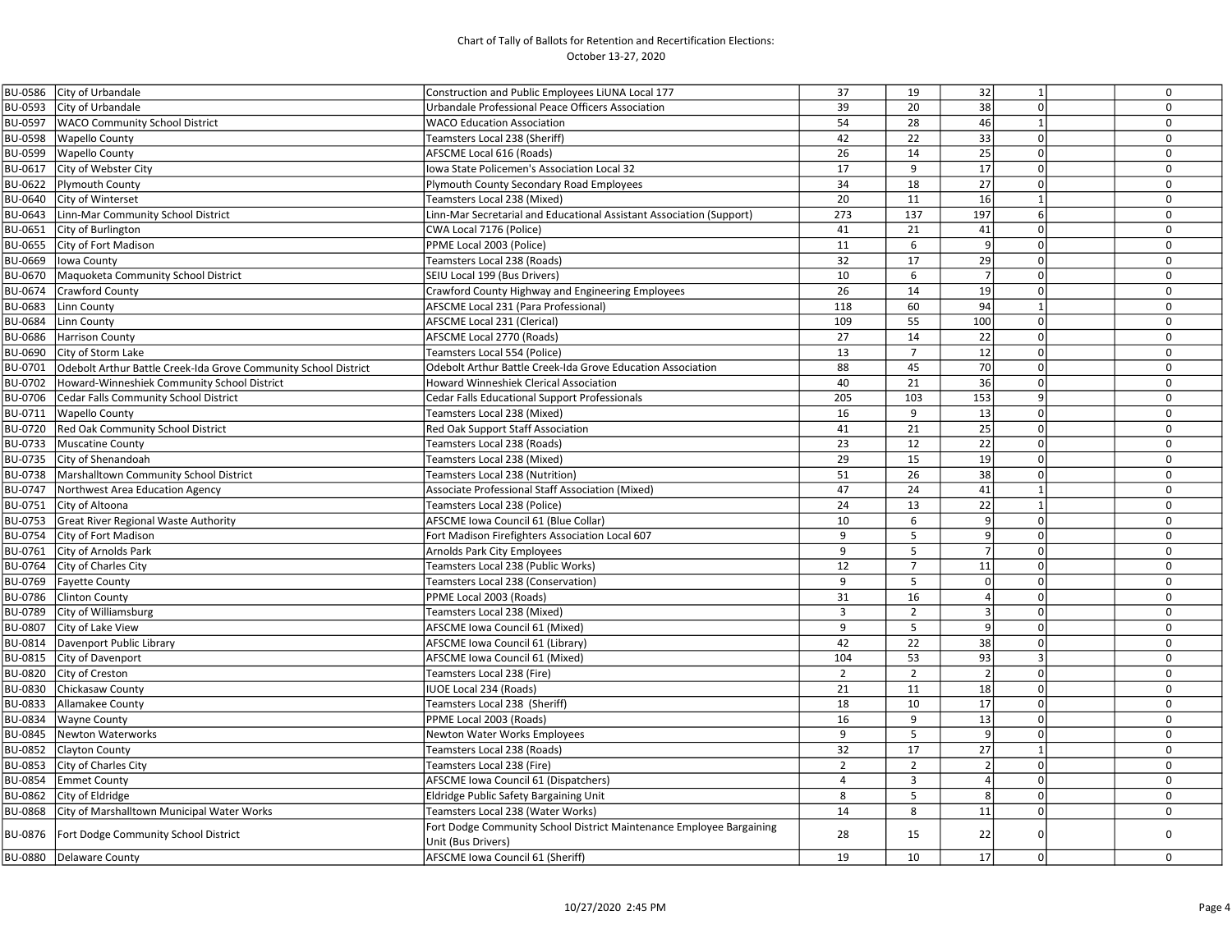| BU-0586 City of Urbandale                                                  | Construction and Public Employees LiUNA Local 177                    | 37             | 19             | 32              | $\mathbf{1}$   | $\mathbf 0$  |
|----------------------------------------------------------------------------|----------------------------------------------------------------------|----------------|----------------|-----------------|----------------|--------------|
| BU-0593<br>City of Urbandale                                               | Urbandale Professional Peace Officers Association                    | 39             | 20             | $\overline{38}$ | $\Omega$       | $\mathbf 0$  |
| BU-0597<br><b>WACO Community School District</b>                           | <b>WACO Education Association</b>                                    | 54             | 28             | 46              | $\mathbf{1}$   | $\Omega$     |
| BU-0598<br><b>Wapello County</b>                                           | Teamsters Local 238 (Sheriff)                                        | 42             | 22             | $\overline{33}$ | $\Omega$       | $\mathbf 0$  |
| BU-0599<br><b>Wapello County</b>                                           | AFSCME Local 616 (Roads)                                             | 26             | 14             | 25              | $\Omega$       | $\mathbf 0$  |
| BU-0617<br>City of Webster City                                            | Iowa State Policemen's Association Local 32                          | 17             | 9              | 17              | $\mathbf 0$    | $\mathbf 0$  |
| BU-0622<br>Plymouth County                                                 | Plymouth County Secondary Road Employees                             | 34             | 18             | 27              | $\mathbf 0$    | $\mathbf 0$  |
| BU-0640 City of Winterset                                                  | Teamsters Local 238 (Mixed)                                          | 20             | 11             | 16              | $\mathbf{1}$   | $\mathbf 0$  |
| BU-0643<br>Linn-Mar Community School District                              | Linn-Mar Secretarial and Educational Assistant Association (Support) | 273            | 137            | 197             | 6              | $\mathbf 0$  |
| BU-0651<br>City of Burlington                                              | CWA Local 7176 (Police)                                              | 41             | 21             | 41              | $\mathbf 0$    | $\mathbf 0$  |
| City of Fort Madison<br>BU-0655                                            | PPME Local 2003 (Police)                                             | 11             | 6              | $\overline{9}$  | $\Omega$       | $\mathbf 0$  |
| BU-0669<br>Iowa County                                                     | Teamsters Local 238 (Roads)                                          | 32             | 17             | 29              | $\Omega$       | $\mathbf 0$  |
| BU-0670<br>Maquoketa Community School District                             | SEIU Local 199 (Bus Drivers)                                         | 10             | 6              | $\overline{7}$  | $\Omega$       | $\mathbf 0$  |
| BU-0674<br>Crawford County                                                 | Crawford County Highway and Engineering Employees                    | 26             | 14             | 19              | $\Omega$       | $\mathbf 0$  |
| BU-0683<br>Linn County                                                     | AFSCME Local 231 (Para Professional)                                 | 118            | 60             | 94              | $\mathbf{1}$   | $\mathbf 0$  |
| BU-0684<br>Linn County                                                     | AFSCME Local 231 (Clerical)                                          | 109            | 55             | 100             | $\mathbf 0$    | $\mathbf 0$  |
| BU-0686<br><b>Harrison County</b>                                          | AFSCME Local 2770 (Roads)                                            | 27             | 14             | 22              | $\mathbf 0$    | $\mathbf 0$  |
| BU-0690<br>City of Storm Lake                                              | Teamsters Local 554 (Police)                                         | 13             | $\overline{7}$ | 12              | $\Omega$       | $\Omega$     |
| BU-0701<br>Odebolt Arthur Battle Creek-Ida Grove Community School District | Odebolt Arthur Battle Creek-Ida Grove Education Association          | 88             | 45             | 70              | $\Omega$       | $\mathbf 0$  |
| BU-0702<br>Howard-Winneshiek Community School District                     | Howard Winneshiek Clerical Association                               | 40             | 21             | 36              | $\Omega$       | $\mathbf 0$  |
| Cedar Falls Community School District<br>BU-0706                           | Cedar Falls Educational Support Professionals                        | 205            | 103            | 153             | 9              | $\mathbf 0$  |
| <b>Wapello County</b><br>BU-0711                                           | Teamsters Local 238 (Mixed)                                          | 16             | 9              | 13              | $\mathbf 0$    | $\mathbf 0$  |
| Red Oak Community School District<br>BU-0720                               | Red Oak Support Staff Association                                    | 41             | 21             | $\overline{25}$ | $\Omega$       | $\mathbf 0$  |
| Muscatine County<br>BU-0733                                                | Teamsters Local 238 (Roads)                                          | 23             | 12             | 22              | $\Omega$       | $\mathbf 0$  |
| City of Shenandoah<br>BU-0735                                              | Teamsters Local 238 (Mixed)                                          | 29             | 15             | 19              | $\Omega$       | $\mathbf 0$  |
| BU-0738<br>Marshalltown Community School District                          | Teamsters Local 238 (Nutrition)                                      | 51             | 26             | 38              | $\Omega$       | $\mathbf 0$  |
| BU-0747<br>Northwest Area Education Agency                                 | Associate Professional Staff Association (Mixed)                     | 47             | 24             | 41              | $\mathbf{1}$   | $\mathbf{0}$ |
| BU-0751<br>City of Altoona                                                 | Teamsters Local 238 (Police)                                         | 24             | 13             | $\overline{22}$ | $\mathbf{1}$   | $\mathbf 0$  |
| BU-0753<br><b>Great River Regional Waste Authority</b>                     | AFSCME Iowa Council 61 (Blue Collar)                                 | 10             | 6              | $\overline{9}$  | $\Omega$       | $\Omega$     |
| BU-0754<br>City of Fort Madison                                            | Fort Madison Firefighters Association Local 607                      | 9              | 5              | 9               | $\mathbf 0$    | $\mathbf 0$  |
| BU-0761<br>City of Arnolds Park                                            | Arnolds Park City Employees                                          | 9              | 5              | $\overline{7}$  | $\mathbf 0$    | $\mathbf 0$  |
| BU-0764<br>City of Charles City                                            | Teamsters Local 238 (Public Works)                                   | 12             | $\overline{7}$ | 11              | $\mathbf 0$    | $\mathbf 0$  |
| BU-0769<br><b>Fayette County</b>                                           | Teamsters Local 238 (Conservation)                                   | 9              | 5              | $\Omega$        | $\Omega$       | $\mathbf 0$  |
| BU-0786<br><b>Clinton County</b>                                           | PPME Local 2003 (Roads)                                              | 31             | 16             | $\overline{4}$  | $\Omega$       | $\mathbf 0$  |
| BU-0789<br>City of Williamsburg                                            | Teamsters Local 238 (Mixed)                                          | $\overline{3}$ | $\overline{2}$ | $\overline{3}$  | $\mathbf 0$    | $\mathbf 0$  |
| BU-0807<br>City of Lake View                                               | AFSCME Iowa Council 61 (Mixed)                                       | 9              | 5              | 9               | $\mathbf 0$    | $\mathbf 0$  |
| BU-0814   Davenport Public Library                                         | AFSCME Iowa Council 61 (Library)                                     | 42             | 22             | 38              | $\Omega$       | $\mathbf 0$  |
| BU-0815 City of Davenport                                                  | AFSCME Iowa Council 61 (Mixed)                                       | 104            | 53             | 93              | $\overline{3}$ | $\mathbf 0$  |
| BU-0820 City of Creston                                                    | Teamsters Local 238 (Fire)                                           | $\overline{2}$ | $\overline{2}$ | $\overline{2}$  | $\mathbf 0$    | $\mathbf 0$  |
| BU-0830<br>Chickasaw County                                                | <b>IUOE Local 234 (Roads)</b>                                        | 21             | 11             | 18              | $\Omega$       | $\mathbf 0$  |
| BU-0833<br>Allamakee County                                                | Teamsters Local 238 (Sheriff)                                        | 18             | 10             | 17              | $\Omega$       | $\mathbf 0$  |
| <b>BU-0834</b><br><b>Wayne County</b>                                      | PPME Local 2003 (Roads)                                              | 16             | 9              | 13              | $\Omega$       | $\mathbf 0$  |
| BU-0845<br>Newton Waterworks                                               | Newton Water Works Employees                                         | 9              | 5              | 9               | $\Omega$       | $\mathbf 0$  |
| BU-0852<br><b>Clayton County</b>                                           | Teamsters Local 238 (Roads)                                          | 32             | 17             | $\overline{27}$ | $\mathbf{1}$   | $\mathbf 0$  |
| BU-0853<br>City of Charles City                                            | Teamsters Local 238 (Fire)                                           | $\overline{2}$ | $\overline{2}$ | $\overline{2}$  | $\mathbf 0$    | $\mathbf 0$  |
| <b>BU-0854</b><br><b>Emmet County</b>                                      | AFSCME Iowa Council 61 (Dispatchers)                                 | $\overline{4}$ | $\overline{3}$ | $\overline{4}$  | $\Omega$       | $\mathbf 0$  |
| BU-0862<br>City of Eldridge                                                | Eldridge Public Safety Bargaining Unit                               | 8              | 5              | 8               | $\Omega$       | $\mathbf 0$  |
| BU-0868<br>City of Marshalltown Municipal Water Works                      | Teamsters Local 238 (Water Works)                                    | 14             | 8              | 11              | $\Omega$       | $\mathbf 0$  |
| BU-0876   Fort Dodge Community School District                             | Fort Dodge Community School District Maintenance Employee Bargaining | 28             | 15             | 22              | $\Omega$       | $\mathsf 0$  |
|                                                                            | Unit (Bus Drivers)                                                   |                |                |                 |                |              |
| BU-0880   Delaware County                                                  | AFSCME Iowa Council 61 (Sheriff)                                     | 19             | 10             | 17              | $\mathbf 0$    | $\mathbf 0$  |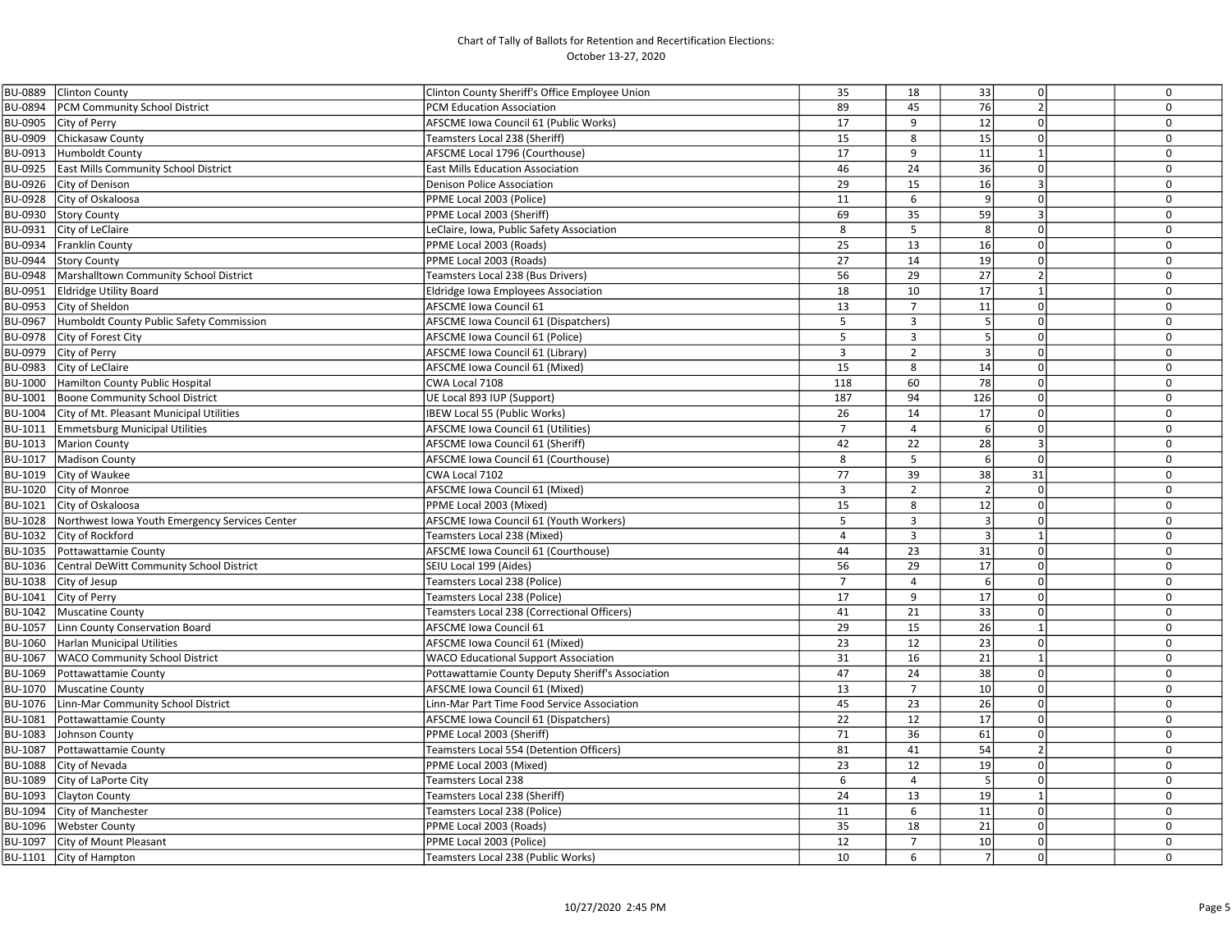| <b>BU-0889</b> | <b>Clinton County</b>                                  | Clinton County Sheriff's Office Employee Union    | 35             | 18             | 33               | $\Omega$                 | $\mathbf 0$ |
|----------------|--------------------------------------------------------|---------------------------------------------------|----------------|----------------|------------------|--------------------------|-------------|
| <b>BU-0894</b> | <b>PCM Community School District</b>                   | PCM Education Association                         | 89             | 45             | 76               | $\overline{\phantom{a}}$ | $\mathbf 0$ |
|                | BU-0905 City of Perry                                  | AFSCME Iowa Council 61 (Public Works)             | 17             | 9              | 12               | $\Omega$                 | $\mathbf 0$ |
| BU-0909        | Chickasaw County                                       | Teamsters Local 238 (Sheriff)                     | 15             | 8              | 15               | $\mathbf 0$              | $\mathbf 0$ |
| BU-0913        | Humboldt County                                        | AFSCME Local 1796 (Courthouse)                    | 17             | 9              | 11               | $\mathbf{1}$             | $\Omega$    |
|                | BU-0925 East Mills Community School District           | <b>East Mills Education Association</b>           | 46             | 24             | 36               | $\Omega$                 | $\mathbf 0$ |
|                | BU-0926 City of Denison                                | Denison Police Association                        | 29             | 15             | 16               | $\overline{3}$           | $\mathbf 0$ |
| BU-0928        | City of Oskaloosa                                      | PPME Local 2003 (Police)                          | 11             | 6              | $\overline{9}$   | $\Omega$                 | $\mathbf 0$ |
| BU-0930        | <b>Story County</b>                                    | PPME Local 2003 (Sheriff)                         | 69             | 35             | 59               | $\overline{3}$           | $\mathbf 0$ |
|                | BU-0931 City of LeClaire                               | LeClaire, Iowa, Public Safety Association         | 8              | 5              | 8                | $\Omega$                 | $\mathbf 0$ |
|                | BU-0934 Franklin County                                | PPME Local 2003 (Roads)                           | 25             | 13             | 16               | $\Omega$                 | $\mathbf 0$ |
|                | BU-0944 Story County                                   | PPME Local 2003 (Roads)                           | 27             | 14             | 19               | $\Omega$                 | $\mathbf 0$ |
|                | BU-0948   Marshalltown Community School District       | Teamsters Local 238 (Bus Drivers)                 | 56             | 29             | 27               |                          | $\mathbf 0$ |
| BU-0951        | <b>Eldridge Utility Board</b>                          | <b>Eldridge Iowa Employees Association</b>        | 18             | 10             | 17               | $\mathbf{1}$             | $\mathbf 0$ |
| BU-0953        | City of Sheldon                                        | <b>AFSCME Iowa Council 61</b>                     | 13             | 7              | 11               | $\Omega$                 | $\mathbf 0$ |
| BU-0967        | Humboldt County Public Safety Commission               | AFSCME Iowa Council 61 (Dispatchers)              | 5              | $\overline{3}$ | 5                | $\Omega$                 | $\mathbf 0$ |
|                | BU-0978 City of Forest City                            | AFSCME Iowa Council 61 (Police)                   | 5              | $\overline{3}$ | 5 <sub>l</sub>   | $\Omega$                 | $\mathbf 0$ |
|                | BU-0979 City of Perry                                  | AFSCME Iowa Council 61 (Library)                  | $\overline{3}$ | $\overline{2}$ | 3                | $\mathbf 0$              | $\mathbf 0$ |
| BU-0983        | City of LeClaire                                       | AFSCME Iowa Council 61 (Mixed)                    | 15             | 8              | 14               | $\mathbf 0$              | $\mathbf 0$ |
| BU-1000        | Hamilton County Public Hospital                        | CWA Local 7108                                    | 118            | 60             | 78               | $\Omega$                 | $\mathbf 0$ |
|                | BU-1001   Boone Community School District              | UE Local 893 IUP (Support)                        | 187            | 94             | 126              | $\Omega$                 | $\mathbf 0$ |
|                | BU-1004 City of Mt. Pleasant Municipal Utilities       | <b>IBEW Local 55 (Public Works)</b>               | 26             | 14             | 17               | $\Omega$                 | $\mathbf 0$ |
|                | BU-1011 Emmetsburg Municipal Utilities                 | AFSCME Iowa Council 61 (Utilities)                | $\overline{7}$ | $\overline{4}$ | 6                | $\Omega$                 | $\mathbf 0$ |
|                | BU-1013   Marion County                                | AFSCME Iowa Council 61 (Sheriff)                  | 42             | 22             | 28               | $\overline{3}$           | $\mathbf 0$ |
|                | BU-1017   Madison County                               | AFSCME Iowa Council 61 (Courthouse)               | 8              | 5              | 6                | $\mathbf 0$              | $\mathbf 0$ |
|                | BU-1019 City of Waukee                                 | CWA Local 7102                                    | 77             | 39             | 38               | 31                       | $\mathbf 0$ |
|                | BU-1020 City of Monroe                                 | AFSCME Iowa Council 61 (Mixed)                    | $\overline{3}$ | $\overline{2}$ |                  | $\Omega$                 | $\mathbf 0$ |
|                | BU-1021 City of Oskaloosa                              | PPME Local 2003 (Mixed)                           | 15             | 8              | 12               | $\Omega$                 | $\mathbf 0$ |
|                | BU-1028 Northwest Iowa Youth Emergency Services Center | AFSCME Iowa Council 61 (Youth Workers)            | 5              | 3              | $\overline{3}$   | $\Omega$                 | $\mathbf 0$ |
| BU-1032        | City of Rockford                                       | Teamsters Local 238 (Mixed)                       | $\overline{4}$ | 3              | $\overline{3}$   | $\mathbf{1}$             | $\mathbf 0$ |
|                | BU-1035   Pottawattamie County                         | AFSCME Iowa Council 61 (Courthouse)               | 44             | 23             | 31               | $\Omega$                 | $\Omega$    |
|                | BU-1036 Central DeWitt Community School District       | SEIU Local 199 (Aides)                            | 56             | 29             | $17\,$           | $\Omega$                 | $\mathbf 0$ |
|                | BU-1038 City of Jesup                                  | Teamsters Local 238 (Police)                      | $\overline{7}$ | $\overline{4}$ | $6 \overline{6}$ | $\Omega$                 | $\mathbf 0$ |
| BU-1041        | City of Perry                                          | Teamsters Local 238 (Police)                      | 17             | 9              | 17               | $\Omega$                 | $\mathbf 0$ |
|                | BU-1042   Muscatine County                             | Teamsters Local 238 (Correctional Officers)       | 41             | 21             | 33               | $\Omega$                 | $\mathbf 0$ |
|                | BU-1057   Linn County Conservation Board               | <b>AFSCME Iowa Council 61</b>                     | 29             | 15             | 26               | $\mathbf{1}$             | $\mathbf 0$ |
|                | BU-1060 Harlan Municipal Utilities                     | AFSCME Iowa Council 61 (Mixed)                    | 23             | 12             | 23               | $\Omega$                 | $\mathbf 0$ |
|                | BU-1067   WACO Community School District               | <b>WACO Educational Support Association</b>       | 31             | 16             | 21               | $\mathbf{1}$             | $\mathbf 0$ |
|                | BU-1069 Pottawattamie County                           | Pottawattamie County Deputy Sheriff's Association | 47             | 24             | 38               | $\Omega$                 | $\mathbf 0$ |
| BU-1070        | Muscatine County                                       | AFSCME Iowa Council 61 (Mixed)                    | 13             | $\overline{7}$ | 10               | $\mathbf 0$              | $\mathbf 0$ |
|                | BU-1076 Linn-Mar Community School District             | Linn-Mar Part Time Food Service Association       | 45             | 23             | 26               | $\mathbf 0$              | $\mathbf 0$ |
| BU-1081        | Pottawattamie County                                   | AFSCME Iowa Council 61 (Dispatchers)              | 22             | 12             | 17               | $\Omega$                 | $\Omega$    |
| BU-1083        | Johnson County                                         | PPME Local 2003 (Sheriff)                         | 71             | 36             | 61               | $\Omega$                 | $\mathbf 0$ |
| BU-1087        | Pottawattamie County                                   | Teamsters Local 554 (Detention Officers)          | 81             | 41             | 54               | $\overline{2}$           | $\mathbf 0$ |
| <b>BU-1088</b> | City of Nevada                                         | PPME Local 2003 (Mixed)                           | 23             | 12             | 19               | $\mathbf 0$              | $\mathbf 0$ |
| BU-1089        | City of LaPorte City                                   | Teamsters Local 238                               | 6              | $\overline{4}$ | 5                | $\mathbf 0$              | $\mathbf 0$ |
| BU-1093        | Clayton County                                         | Teamsters Local 238 (Sheriff)                     | 24             | 13             | 19               | $\mathbf{1}$             | 0           |
| BU-1094        | City of Manchester                                     | Teamsters Local 238 (Police)                      | 11             | 6              | $\overline{11}$  | $\Omega$                 | $\mathbf 0$ |
|                | BU-1096   Webster County                               | PPME Local 2003 (Roads)                           | 35             | 18             | 21               | $\Omega$                 | $\mathbf 0$ |
|                | BU-1097 City of Mount Pleasant                         | PPME Local 2003 (Police)                          | 12             | $\overline{7}$ | 10               | $\Omega$                 | $\mathbf 0$ |
|                | BU-1101 City of Hampton                                | Teamsters Local 238 (Public Works)                | 10             | 6              | 7                | 0                        | $\mathbf 0$ |
|                |                                                        |                                                   |                |                |                  |                          |             |